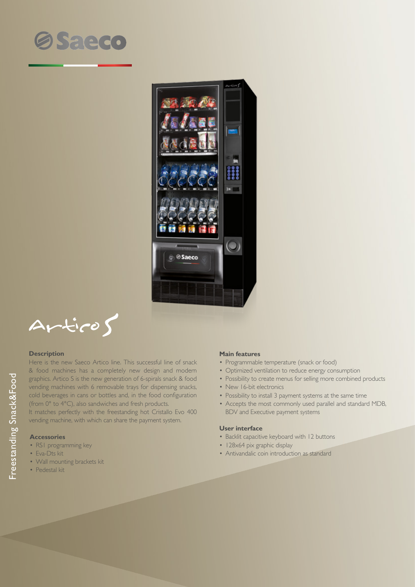



$$
\text{Artico} \textbf{S}
$$

### **Description**

Here is the new Saeco Artico line. This successful line of snack & food machines has a completely new design and modern graphics. Artico S is the new generation of 6-spirals snack & food vending machines with 6 removable trays for dispensing snacks, cold beverages in cans or bottles and, in the food configuration (from 0° to 4°C), also sandwiches and fresh products.

It matches perfectly with the freestanding hot Cristallo Evo 400 vending machine, with which can share the payment system.

# **Accessories**

- RS1 programming key
- Eva-Dts kit
- Wall mounting brackets kit
- Pedestal kit

### **Main features**

- Programmable temperature (snack or food)
- Optimized ventilation to reduce energy consumption
- Possibility to create menus for selling more combined products
- New 16-bit electronics
- Possibility to install 3 payment systems at the same time
- Accepts the most commonly used parallel and standard MDB, BDV and Executive payment systems

#### **User interface**

- Backlit capacitive keyboard with 12 buttons
- 128x64 pix graphic display
- Antivandalic coin introduction as standard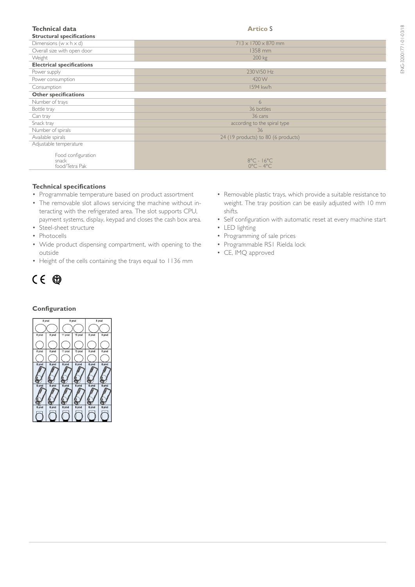| <b>Technical data</b><br><b>Structural specifications</b> | <b>Artico S</b>                                             |
|-----------------------------------------------------------|-------------------------------------------------------------|
| Dimensions ( $w \times h \times d$ )                      | $713 \times 1700 \times 870$ mm                             |
| Overall size with open door                               | 1358 mm                                                     |
| Weight                                                    | 200 kg                                                      |
| <b>Electrical specifications</b>                          |                                                             |
| Power supply                                              | 230V/50 Hz                                                  |
| Power consumption                                         | 420W                                                        |
| Consumption                                               | 1594 kw/h                                                   |
| <b>Other specifications</b>                               |                                                             |
| Number of trays                                           | 6                                                           |
| Bottle tray                                               | 36 bottles                                                  |
| Can tray                                                  | 36 cans                                                     |
| Snack tray                                                | according to the spiral type                                |
| Number of spirals                                         | 36                                                          |
| Available spirals                                         | 24 (19 products) to 80 (6 products)                         |
| Adjustable temperature                                    |                                                             |
| Food configuration<br>snack<br>food/Tetra Pak             | $8^{\circ}$ C - $16^{\circ}$ C<br>$0^{\circ}C - 4^{\circ}C$ |

# **Technical specifications**

- Programmable temperature based on product assortment
- The removable slot allows servicing the machine without interacting with the refrigerated area. The slot supports CPU, payment systems, display, keypad and closes the cash box area.
- Steel-sheet structure
- Photocells
- • Wide product dispensing compartment, with opening to the outside
- Height of the cells containing the trays equal to 1136 mm



# **Configuration**



- • Removable plastic trays, which provide a suitable resistance to weight. The tray position can be easily adjusted with 10 mm shifts.
- Self configuration with automatic reset at every machine start
- • LED lighting
- Programming of sale prices
- Programmable RS1 Rielda lock
- CE, IMQ approved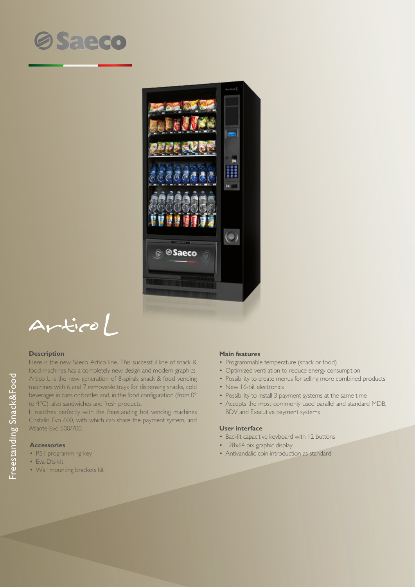



 $ArticoL$ 

#### **Description**

Here is the new Saeco Artico line. This successful line of snack & food machines has a completely new design and modern graphics. Artico L is the new generation of 8-spirals snack & food vending machines with 6 and 7 removable trays for dispensing snacks, cold beverages in cans or bottles and, in the food configuration (from 0° to 4°C), also sandwiches and fresh products.

It matches perfectly with the freestanding hot vending machines Cristallo Evo 600, with which can share the payment system, and Atlante Evo 500/700.

## **Accessories**

- RS1 programming key
- Eva-Dts kit
- Wall mounting brackets kit

### **Main features**

- Programmable temperature (snack or food)
- Optimized ventilation to reduce energy consumption
- Possibility to create menus for selling more combined products
- New 16-bit electronics
- Possibility to install 3 payment systems at the same time
- Accepts the most commonly used parallel and standard MDB, BDV and Executive payment systems

#### **User interface**

- Backlit capacitive keyboard with 12 buttons
- 128x64 pix graphic display
- Antivandalic coin introduction as standard